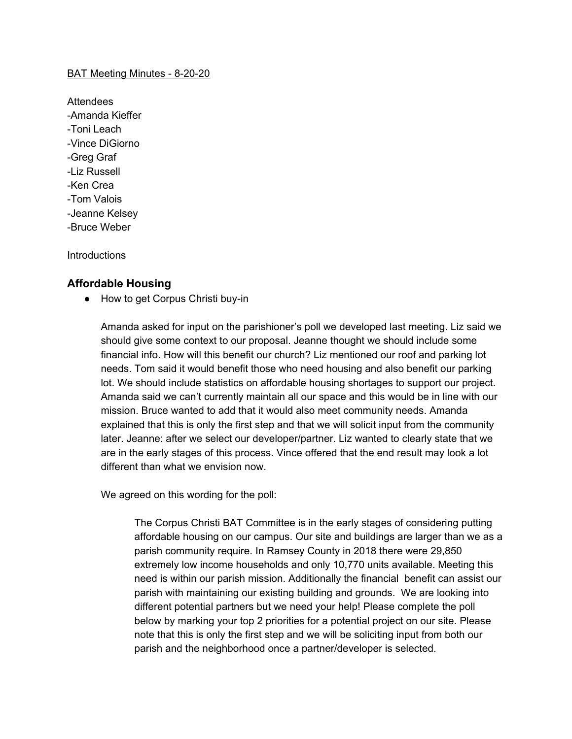#### BAT Meeting Minutes - 8-20-20

**Attendees** -Amanda Kieffer -Toni Leach -Vince DiGiorno -Greg Graf -Liz Russell -Ken Crea -Tom Valois -Jeanne Kelsey -Bruce Weber

**Introductions** 

### **Affordable Housing**

● How to get Corpus Christi buy-in

Amanda asked for input on the parishioner's poll we developed last meeting. Liz said we should give some context to our proposal. Jeanne thought we should include some financial info. How will this benefit our church? Liz mentioned our roof and parking lot needs. Tom said it would benefit those who need housing and also benefit our parking lot. We should include statistics on affordable housing shortages to support our project. Amanda said we can't currently maintain all our space and this would be in line with our mission. Bruce wanted to add that it would also meet community needs. Amanda explained that this is only the first step and that we will solicit input from the community later. Jeanne: after we select our developer/partner. Liz wanted to clearly state that we are in the early stages of this process. Vince offered that the end result may look a lot different than what we envision now.

We agreed on this wording for the poll:

The Corpus Christi BAT Committee is in the early stages of considering putting affordable housing on our campus. Our site and buildings are larger than we as a parish community require. In Ramsey County in 2018 there were 29,850 extremely low income households and only 10,770 units available. Meeting this need is within our parish mission. Additionally the financial benefit can assist our parish with maintaining our existing building and grounds. We are looking into different potential partners but we need your help! Please complete the poll below by marking your top 2 priorities for a potential project on our site. Please note that this is only the first step and we will be soliciting input from both our parish and the neighborhood once a partner/developer is selected.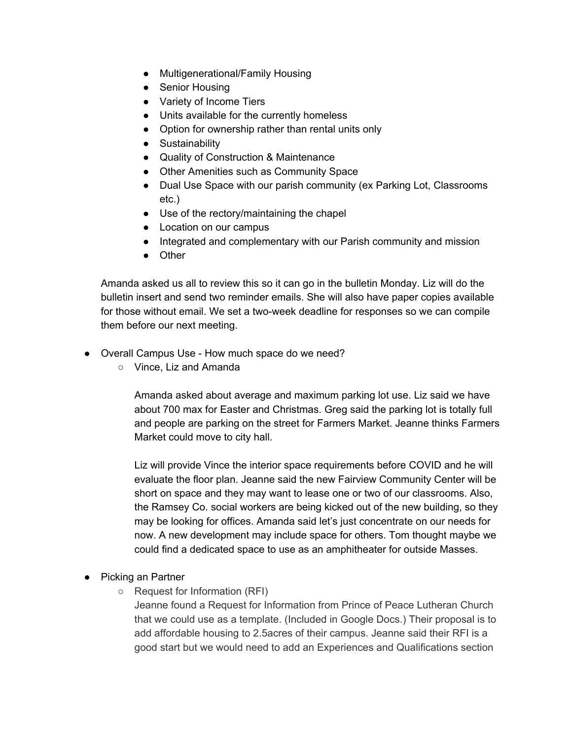- Multigenerational/Family Housing
- Senior Housing
- Variety of Income Tiers
- Units available for the currently homeless
- Option for ownership rather than rental units only
- Sustainability
- Quality of Construction & Maintenance
- Other Amenities such as Community Space
- Dual Use Space with our parish community (ex Parking Lot, Classrooms etc.)
- Use of the rectory/maintaining the chapel
- Location on our campus
- Integrated and complementary with our Parish community and mission
- Other

Amanda asked us all to review this so it can go in the bulletin Monday. Liz will do the bulletin insert and send two reminder emails. She will also have paper copies available for those without email. We set a two-week deadline for responses so we can compile them before our next meeting.

- Overall Campus Use How much space do we need?
	- Vince, Liz and Amanda

Amanda asked about average and maximum parking lot use. Liz said we have about 700 max for Easter and Christmas. Greg said the parking lot is totally full and people are parking on the street for Farmers Market. Jeanne thinks Farmers Market could move to city hall.

Liz will provide Vince the interior space requirements before COVID and he will evaluate the floor plan. Jeanne said the new Fairview Community Center will be short on space and they may want to lease one or two of our classrooms. Also, the Ramsey Co. social workers are being kicked out of the new building, so they may be looking for offices. Amanda said let's just concentrate on our needs for now. A new development may include space for others. Tom thought maybe we could find a dedicated space to use as an amphitheater for outside Masses.

- Picking an Partner
	- Request for Information (RFI)

Jeanne found a Request for Information from Prince of Peace Lutheran Church that we could use as a template. (Included in Google Docs.) Their proposal is to add affordable housing to 2.5acres of their campus. Jeanne said their RFI is a good start but we would need to add an Experiences and Qualifications section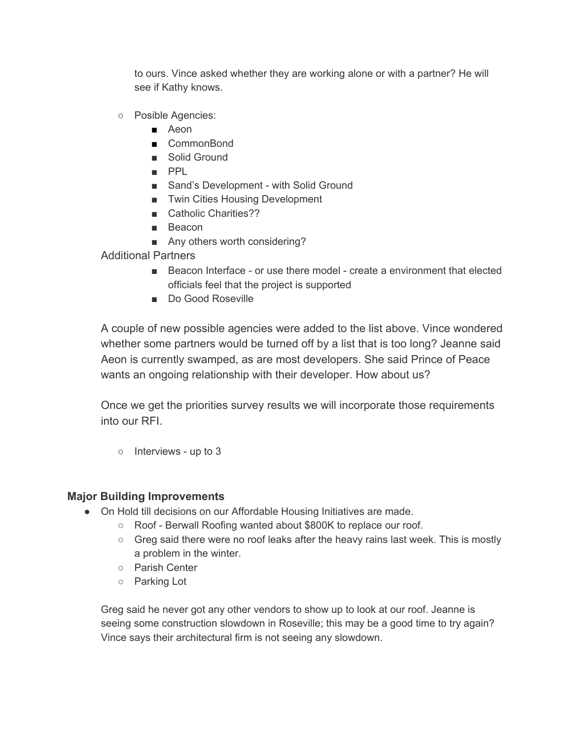to ours. Vince asked whether they are working alone or with a partner? He will see if Kathy knows.

- Posible Agencies:
	- Aeon
	- CommonBond
	- Solid Ground
	- PPL
	- Sand's Development with Solid Ground
	- Twin Cities Housing Development
	- Catholic Charities??
	- Beacon
	- Any others worth considering?

Additional Partners

- Beacon Interface or use there model create a environment that elected officials feel that the project is supported
- Do Good Roseville

A couple of new possible agencies were added to the list above. Vince wondered whether some partners would be turned off by a list that is too long? Jeanne said Aeon is currently swamped, as are most developers. She said Prince of Peace wants an ongoing relationship with their developer. How about us?

Once we get the priorities survey results we will incorporate those requirements into our RFI.

○ Interviews - up to 3

# **Major Building Improvements**

- On Hold till decisions on our Affordable Housing Initiatives are made.
	- Roof Berwall Roofing wanted about \$800K to replace our roof.
	- $\circ$  Greg said there were no roof leaks after the heavy rains last week. This is mostly a problem in the winter.
	- Parish Center
	- Parking Lot

Greg said he never got any other vendors to show up to look at our roof. Jeanne is seeing some construction slowdown in Roseville; this may be a good time to try again? Vince says their architectural firm is not seeing any slowdown.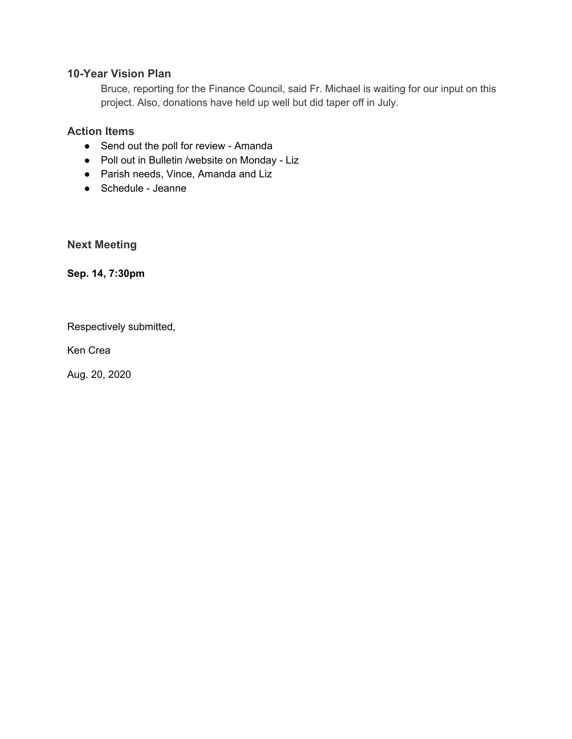# **10-Year Vision Plan**

Bruce, reporting for the Finance Council, said Fr. Michael is waiting for our input on this project. Also, donations have held up well but did taper off in July.

# **Action Items**

- Send out the poll for review Amanda
- Poll out in Bulletin /website on Monday Liz
- Parish needs, Vince, Amanda and Liz
- Schedule Jeanne

**Next Meeting**

**Sep. 14, 7:30pm**

Respectively submitted,

Ken Crea

Aug. 20, 2020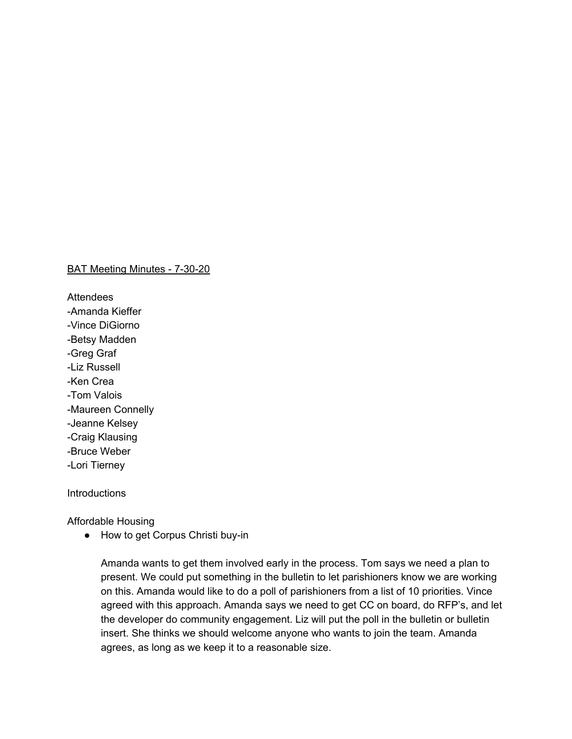BAT Meeting Minutes - 7-30-20

**Attendees** -Amanda Kieffer -Vince DiGiorno -Betsy Madden -Greg Graf -Liz Russell -Ken Crea -Tom Valois -Maureen Connelly -Jeanne Kelsey -Craig Klausing -Bruce Weber -Lori Tierney

**Introductions** 

Affordable Housing

● How to get Corpus Christi buy-in

Amanda wants to get them involved early in the process. Tom says we need a plan to present. We could put something in the bulletin to let parishioners know we are working on this. Amanda would like to do a poll of parishioners from a list of 10 priorities. Vince agreed with this approach. Amanda says we need to get CC on board, do RFP's, and let the developer do community engagement. Liz will put the poll in the bulletin or bulletin insert. She thinks we should welcome anyone who wants to join the team. Amanda agrees, as long as we keep it to a reasonable size.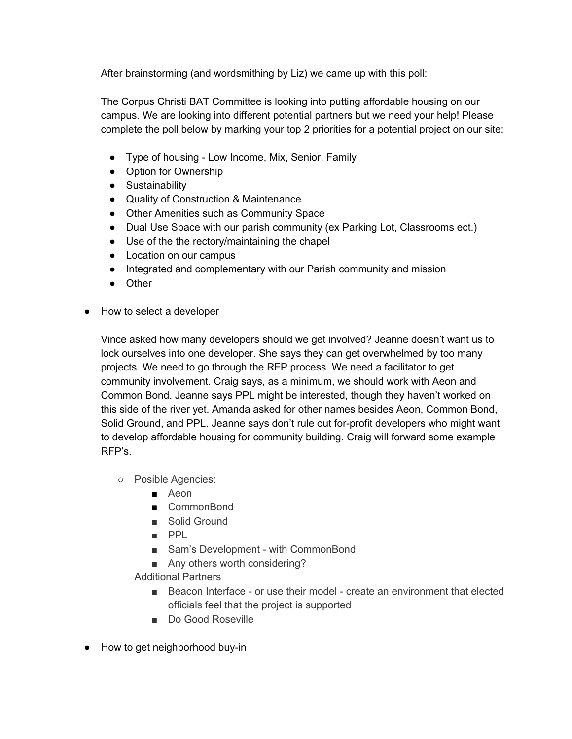After brainstorming (and wordsmithing by Liz) we came up with this poll:

The Corpus Christi BAT Committee is looking into putting affordable housing on our campus. We are looking into different potential partners but we need your help! Please complete the poll below by marking your top 2 priorities for a potential project on our site:

- Type of housing Low Income, Mix, Senior, Family
- Option for Ownership
- Sustainability
- Quality of Construction & Maintenance
- Other Amenities such as Community Space
- Dual Use Space with our parish community (ex Parking Lot, Classrooms ect.)
- Use of the the rectory/maintaining the chapel
- Location on our campus
- Integrated and complementary with our Parish community and mission
- Other
- How to select a developer

Vince asked how many developers should we get involved? Jeanne doesn't want us to lock ourselves into one developer. She says they can get overwhelmed by too many projects. We need to go through the RFP process. We need a facilitator to get community involvement. Craig says, as a minimum, we should work with Aeon and Common Bond. Jeanne says PPL might be interested, though they haven't worked on this side of the river yet. Amanda asked for other names besides Aeon, Common Bond, Solid Ground, and PPL. Jeanne says don't rule out for-profit developers who might want to develop affordable housing for community building. Craig will forward some example RFP's.

- Posible Agencies:
	- Aeon
	- CommonBond
	- Solid Ground
	- PPL
	- Sam's Development with CommonBond
	- Any others worth considering?

Additional Partners

- Beacon Interface or use their model create an environment that elected officials feel that the project is supported
- Do Good Roseville
- How to get neighborhood buy-in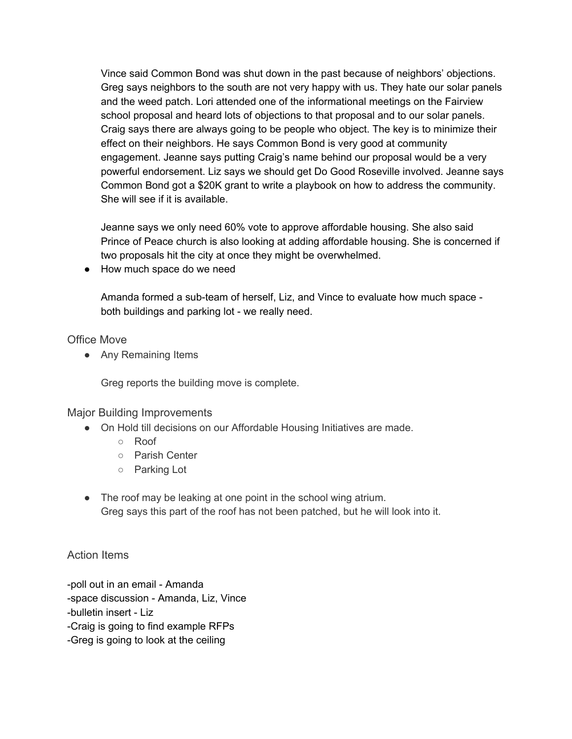Vince said Common Bond was shut down in the past because of neighbors' objections. Greg says neighbors to the south are not very happy with us. They hate our solar panels and the weed patch. Lori attended one of the informational meetings on the Fairview school proposal and heard lots of objections to that proposal and to our solar panels. Craig says there are always going to be people who object. The key is to minimize their effect on their neighbors. He says Common Bond is very good at community engagement. Jeanne says putting Craig's name behind our proposal would be a very powerful endorsement. Liz says we should get Do Good Roseville involved. Jeanne says Common Bond got a \$20K grant to write a playbook on how to address the community. She will see if it is available.

Jeanne says we only need 60% vote to approve affordable housing. She also said Prince of Peace church is also looking at adding affordable housing. She is concerned if two proposals hit the city at once they might be overwhelmed.

● How much space do we need

Amanda formed a sub-team of herself, Liz, and Vince to evaluate how much space both buildings and parking lot - we really need.

### Office Move

● Any Remaining Items

Greg reports the building move is complete.

# Major Building Improvements

- On Hold till decisions on our Affordable Housing Initiatives are made.
	- Roof
	- Parish Center
	- Parking Lot
- The roof may be leaking at one point in the school wing atrium. Greg says this part of the roof has not been patched, but he will look into it.

# Action Items

-poll out in an email - Amanda -space discussion - Amanda, Liz, Vince -bulletin insert - Liz -Craig is going to find example RFPs -Greg is going to look at the ceiling